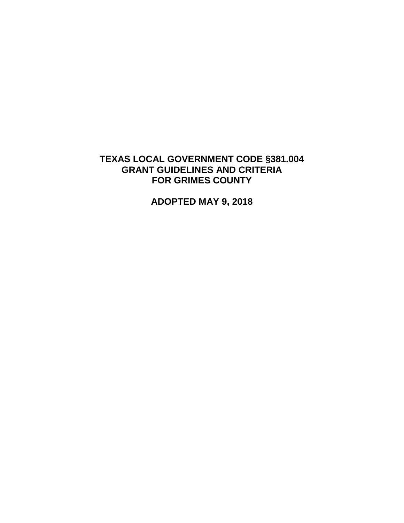## **TEXAS LOCAL GOVERNMENT CODE §381.004 GRANT GUIDELINES AND CRITERIA FOR GRIMES COUNTY**

**ADOPTED MAY 9, 2018**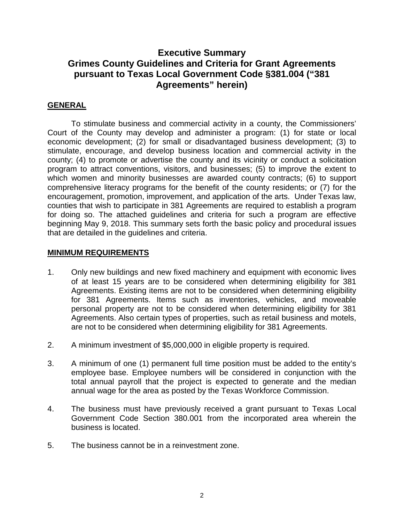## **Executive Summary Grimes County Guidelines and Criteria for Grant Agreements pursuant to Texas Local Government Code §381.004 ("381 Agreements" herein)**

### **GENERAL**

To stimulate business and commercial activity in a county, the Commissioners' Court of the County may develop and administer a program: (1) for state or local economic development; (2) for small or disadvantaged business development; (3) to stimulate, encourage, and develop business location and commercial activity in the county; (4) to promote or advertise the county and its vicinity or conduct a solicitation program to attract conventions, visitors, and businesses; (5) to improve the extent to which women and minority businesses are awarded county contracts; (6) to support comprehensive literacy programs for the benefit of the county residents; or (7) for the encouragement, promotion, improvement, and application of the arts. Under Texas law, counties that wish to participate in 381 Agreements are required to establish a program for doing so. The attached guidelines and criteria for such a program are effective beginning May 9, 2018. This summary sets forth the basic policy and procedural issues that are detailed in the guidelines and criteria.

#### **MINIMUM REQUIREMENTS**

- 1. Only new buildings and new fixed machinery and equipment with economic lives of at least 15 years are to be considered when determining eligibility for 381 Agreements. Existing items are not to be considered when determining eligibility for 381 Agreements. Items such as inventories, vehicles, and moveable personal property are not to be considered when determining eligibility for 381 Agreements. Also certain types of properties, such as retail business and motels, are not to be considered when determining eligibility for 381 Agreements.
- 2. A minimum investment of \$5,000,000 in eligible property is required.
- 3. A minimum of one (1) permanent full time position must be added to the entity's employee base. Employee numbers will be considered in conjunction with the total annual payroll that the project is expected to generate and the median annual wage for the area as posted by the Texas Workforce Commission.
- 4. The business must have previously received a grant pursuant to Texas Local Government Code Section 380.001 from the incorporated area wherein the business is located.
- 5. The business cannot be in a reinvestment zone.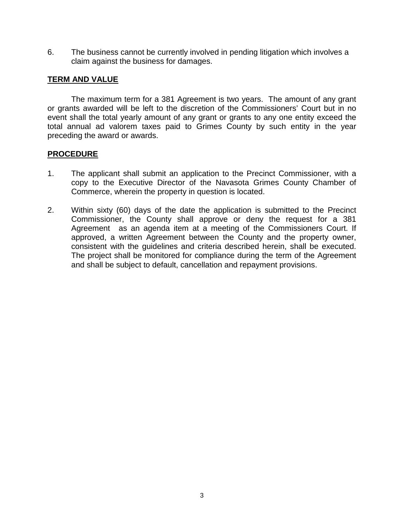6. The business cannot be currently involved in pending litigation which involves a claim against the business for damages.

### **TERM AND VALUE**

The maximum term for a 381 Agreement is two years. The amount of any grant or grants awarded will be left to the discretion of the Commissioners' Court but in no event shall the total yearly amount of any grant or grants to any one entity exceed the total annual ad valorem taxes paid to Grimes County by such entity in the year preceding the award or awards.

### **PROCEDURE**

- 1. The applicant shall submit an application to the Precinct Commissioner, with a copy to the Executive Director of the Navasota Grimes County Chamber of Commerce, wherein the property in question is located.
- 2. Within sixty (60) days of the date the application is submitted to the Precinct Commissioner, the County shall approve or deny the request for a 381 Agreement as an agenda item at a meeting of the Commissioners Court. If approved, a written Agreement between the County and the property owner, consistent with the guidelines and criteria described herein, shall be executed. The project shall be monitored for compliance during the term of the Agreement and shall be subject to default, cancellation and repayment provisions.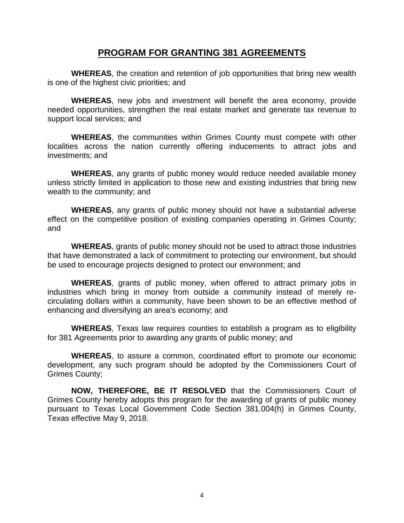### **PROGRAM FOR GRANTING 381 AGREEMENTS**

**WHEREAS**, the creation and retention of job opportunities that bring new wealth is one of the highest civic priorities; and

**WHEREAS**, new jobs and investment will benefit the area economy, provide needed opportunities, strengthen the real estate market and generate tax revenue to support local services; and

**WHEREAS**, the communities within Grimes County must compete with other localities across the nation currently offering inducements to attract jobs and investments; and

**WHEREAS**, any grants of public money would reduce needed available money unless strictly limited in application to those new and existing industries that bring new wealth to the community; and

**WHEREAS**, any grants of public money should not have a substantial adverse effect on the competitive position of existing companies operating in Grimes County; and

**WHEREAS**, grants of public money should not be used to attract those industries that have demonstrated a lack of commitment to protecting our environment, but should be used to encourage projects designed to protect our environment; and

**WHEREAS**, grants of public money, when offered to attract primary jobs in industries which bring in money from outside a community instead of merely recirculating dollars within a community, have been shown to be an effective method of enhancing and diversifying an area's economy; and

**WHEREAS**, Texas law requires counties to establish a program as to eligibility for 381 Agreements prior to awarding any grants of public money; and

**WHEREAS**, to assure a common, coordinated effort to promote our economic development, any such program should be adopted by the Commissioners Court of Grimes County;

**NOW, THEREFORE, BE IT RESOLVED** that the Commissioners Court of Grimes County hereby adopts this program for the awarding of grants of public money pursuant to Texas Local Government Code Section 381.004(h) in Grimes County, Texas effective May 9, 2018.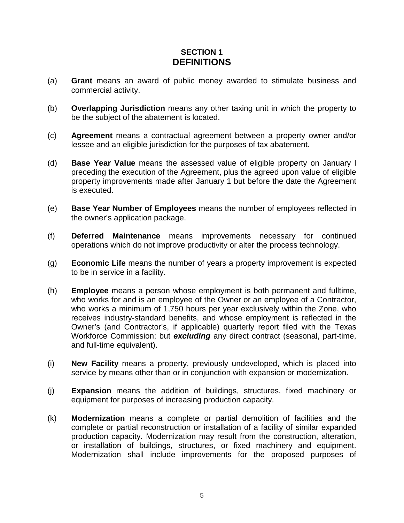## **SECTION 1 DEFINITIONS**

- (a) **Grant** means an award of public money awarded to stimulate business and commercial activity.
- (b) **Overlapping Jurisdiction** means any other taxing unit in which the property to be the subject of the abatement is located.
- (c) **Agreement** means a contractual agreement between a property owner and/or lessee and an eligible jurisdiction for the purposes of tax abatement.
- (d) **Base Year Value** means the assessed value of eligible property on January l preceding the execution of the Agreement, plus the agreed upon value of eligible property improvements made after January 1 but before the date the Agreement is executed.
- (e) **Base Year Number of Employees** means the number of employees reflected in the owner's application package.
- (f) **Deferred Maintenance** means improvements necessary for continued operations which do not improve productivity or alter the process technology.
- (g) **Economic Life** means the number of years a property improvement is expected to be in service in a facility.
- (h) **Employee** means a person whose employment is both permanent and fulltime, who works for and is an employee of the Owner or an employee of a Contractor, who works a minimum of 1,750 hours per year exclusively within the Zone, who receives industry-standard benefits, and whose employment is reflected in the Owner's (and Contractor's, if applicable) quarterly report filed with the Texas Workforce Commission; but *excluding* any direct contract (seasonal, part-time, and full-time equivalent).
- (i) **New Facility** means a property, previously undeveloped, which is placed into service by means other than or in conjunction with expansion or modernization.
- (j) **Expansion** means the addition of buildings, structures, fixed machinery or equipment for purposes of increasing production capacity.
- (k) **Modernization** means a complete or partial demolition of facilities and the complete or partial reconstruction or installation of a facility of similar expanded production capacity. Modernization may result from the construction, alteration, or installation of buildings, structures, or fixed machinery and equipment. Modernization shall include improvements for the proposed purposes of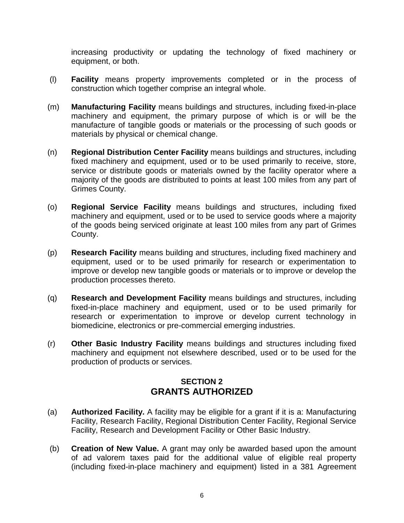increasing productivity or updating the technology of fixed machinery or equipment, or both.

- (l) **Facility** means property improvements completed or in the process of construction which together comprise an integral whole.
- (m) **Manufacturing Facility** means buildings and structures, including fixed-in-place machinery and equipment, the primary purpose of which is or will be the manufacture of tangible goods or materials or the processing of such goods or materials by physical or chemical change.
- (n) **Regional Distribution Center Facility** means buildings and structures, including fixed machinery and equipment, used or to be used primarily to receive, store, service or distribute goods or materials owned by the facility operator where a majority of the goods are distributed to points at least 100 miles from any part of Grimes County.
- (o) **Regional Service Facility** means buildings and structures, including fixed machinery and equipment, used or to be used to service goods where a majority of the goods being serviced originate at least 100 miles from any part of Grimes County.
- (p) **Research Facility** means building and structures, including fixed machinery and equipment, used or to be used primarily for research or experimentation to improve or develop new tangible goods or materials or to improve or develop the production processes thereto.
- (q) **Research and Development Facility** means buildings and structures, including fixed-in-place machinery and equipment, used or to be used primarily for research or experimentation to improve or develop current technology in biomedicine, electronics or pre-commercial emerging industries.
- (r) **Other Basic Industry Facility** means buildings and structures including fixed machinery and equipment not elsewhere described, used or to be used for the production of products or services.

## **SECTION 2 GRANTS AUTHORIZED**

- (a) **Authorized Facility.** A facility may be eligible for a grant if it is a: Manufacturing Facility, Research Facility, Regional Distribution Center Facility, Regional Service Facility, Research and Development Facility or Other Basic Industry.
- (b) **Creation of New Value.** A grant may only be awarded based upon the amount of ad valorem taxes paid for the additional value of eligible real property (including fixed-in-place machinery and equipment) listed in a 381 Agreement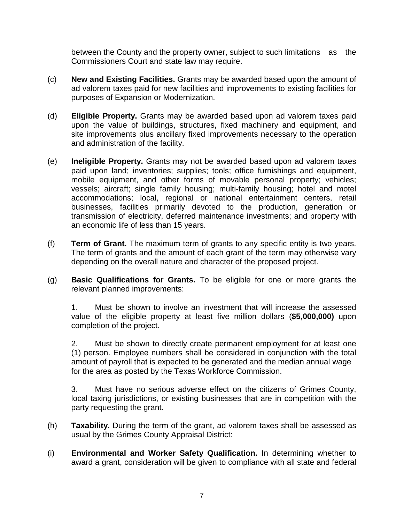between the County and the property owner, subject to such limitations as the Commissioners Court and state law may require.

- (c) **New and Existing Facilities.** Grants may be awarded based upon the amount of ad valorem taxes paid for new facilities and improvements to existing facilities for purposes of Expansion or Modernization.
- (d) **Eligible Property.** Grants may be awarded based upon ad valorem taxes paid upon the value of buildings, structures, fixed machinery and equipment, and site improvements plus ancillary fixed improvements necessary to the operation and administration of the facility.
- (e) **Ineligible Property.** Grants may not be awarded based upon ad valorem taxes paid upon land; inventories; supplies; tools; office furnishings and equipment, mobile equipment, and other forms of movable personal property; vehicles; vessels; aircraft; single family housing; multi-family housing; hotel and motel accommodations; local, regional or national entertainment centers, retail businesses, facilities primarily devoted to the production, generation or transmission of electricity, deferred maintenance investments; and property with an economic life of less than 15 years.
- (f) **Term of Grant.** The maximum term of grants to any specific entity is two years. The term of grants and the amount of each grant of the term may otherwise vary depending on the overall nature and character of the proposed project.
- (g) **Basic Qualifications for Grants.** To be eligible for one or more grants the relevant planned improvements:

1. Must be shown to involve an investment that will increase the assessed value of the eligible property at least five million dollars (**\$5,000,000)** upon completion of the project.

2. Must be shown to directly create permanent employment for at least one (1) person. Employee numbers shall be considered in conjunction with the total amount of payroll that is expected to be generated and the median annual wage for the area as posted by the Texas Workforce Commission.

3. Must have no serious adverse effect on the citizens of Grimes County, local taxing jurisdictions, or existing businesses that are in competition with the party requesting the grant.

- (h) **Taxability.** During the term of the grant, ad valorem taxes shall be assessed as usual by the Grimes County Appraisal District:
- (i) **Environmental and Worker Safety Qualification.** In determining whether to award a grant, consideration will be given to compliance with all state and federal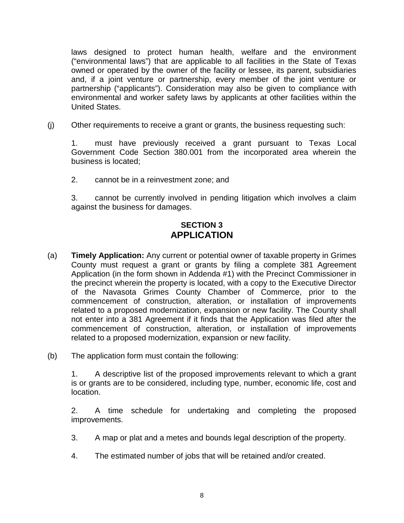laws designed to protect human health, welfare and the environment ("environmental laws") that are applicable to all facilities in the State of Texas owned or operated by the owner of the facility or lessee, its parent, subsidiaries and, if a joint venture or partnership, every member of the joint venture or partnership ("applicants"). Consideration may also be given to compliance with environmental and worker safety laws by applicants at other facilities within the United States.

(j) Other requirements to receive a grant or grants, the business requesting such:

1. must have previously received a grant pursuant to Texas Local Government Code Section 380.001 from the incorporated area wherein the business is located;

2. cannot be in a reinvestment zone; and

3. cannot be currently involved in pending litigation which involves a claim against the business for damages.

## **SECTION 3 APPLICATION**

- (a) **Timely Application:** Any current or potential owner of taxable property in Grimes County must request a grant or grants by filing a complete 381 Agreement Application (in the form shown in Addenda #1) with the Precinct Commissioner in the precinct wherein the property is located, with a copy to the Executive Director of the Navasota Grimes County Chamber of Commerce, prior to the commencement of construction, alteration, or installation of improvements related to a proposed modernization, expansion or new facility. The County shall not enter into a 381 Agreement if it finds that the Application was filed after the commencement of construction, alteration, or installation of improvements related to a proposed modernization, expansion or new facility.
- (b) The application form must contain the following:

1. A descriptive list of the proposed improvements relevant to which a grant is or grants are to be considered, including type, number, economic life, cost and location.

2. A time schedule for undertaking and completing the proposed improvements.

- 3. A map or plat and a metes and bounds legal description of the property.
- 4. The estimated number of jobs that will be retained and/or created.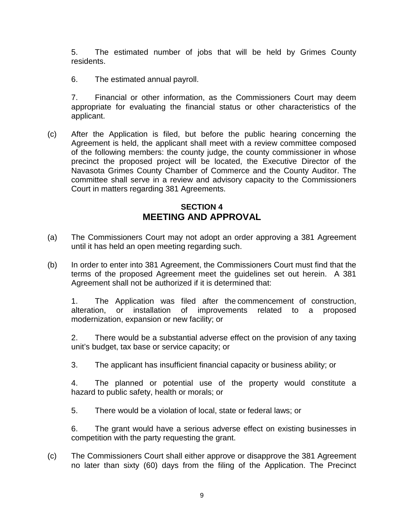5. The estimated number of jobs that will be held by Grimes County residents.

6. The estimated annual payroll.

7. Financial or other information, as the Commissioners Court may deem appropriate for evaluating the financial status or other characteristics of the applicant.

(c) After the Application is filed, but before the public hearing concerning the Agreement is held, the applicant shall meet with a review committee composed of the following members: the county judge, the county commissioner in whose precinct the proposed project will be located, the Executive Director of the Navasota Grimes County Chamber of Commerce and the County Auditor. The committee shall serve in a review and advisory capacity to the Commissioners Court in matters regarding 381 Agreements.

## **SECTION 4 MEETING AND APPROVAL**

- (a) The Commissioners Court may not adopt an order approving a 381 Agreement until it has held an open meeting regarding such.
- (b) In order to enter into 381 Agreement, the Commissioners Court must find that the terms of the proposed Agreement meet the guidelines set out herein. A 381 Agreement shall not be authorized if it is determined that:

1. The Application was filed after the commencement of construction, alteration, or installation of improvements related to a proposed modernization, expansion or new facility; or

2. There would be a substantial adverse effect on the provision of any taxing unit's budget, tax base or service capacity; or

3. The applicant has insufficient financial capacity or business ability; or

4. The planned or potential use of the property would constitute a hazard to public safety, health or morals; or

5. There would be a violation of local, state or federal laws; or

6. The grant would have a serious adverse effect on existing businesses in competition with the party requesting the grant.

(c) The Commissioners Court shall either approve or disapprove the 381 Agreement no later than sixty (60) days from the filing of the Application. The Precinct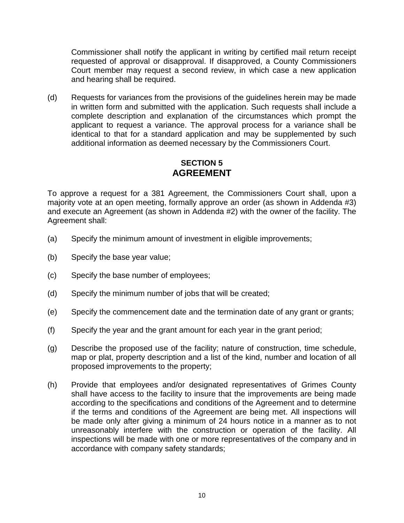Commissioner shall notify the applicant in writing by certified mail return receipt requested of approval or disapproval. If disapproved, a County Commissioners Court member may request a second review, in which case a new application and hearing shall be required.

(d) Requests for variances from the provisions of the guidelines herein may be made in written form and submitted with the application. Such requests shall include a complete description and explanation of the circumstances which prompt the applicant to request a variance. The approval process for a variance shall be identical to that for a standard application and may be supplemented by such additional information as deemed necessary by the Commissioners Court.

### **SECTION 5 AGREEMENT**

To approve a request for a 381 Agreement, the Commissioners Court shall, upon a majority vote at an open meeting, formally approve an order (as shown in Addenda #3) and execute an Agreement (as shown in Addenda #2) with the owner of the facility. The Agreement shall:

- (a) Specify the minimum amount of investment in eligible improvements;
- (b) Specify the base year value;
- (c) Specify the base number of employees;
- (d) Specify the minimum number of jobs that will be created;
- (e) Specify the commencement date and the termination date of any grant or grants;
- (f) Specify the year and the grant amount for each year in the grant period;
- (g) Describe the proposed use of the facility; nature of construction, time schedule, map or plat, property description and a list of the kind, number and location of all proposed improvements to the property;
- (h) Provide that employees and/or designated representatives of Grimes County shall have access to the facility to insure that the improvements are being made according to the specifications and conditions of the Agreement and to determine if the terms and conditions of the Agreement are being met. All inspections will be made only after giving a minimum of 24 hours notice in a manner as to not unreasonably interfere with the construction or operation of the facility. All inspections will be made with one or more representatives of the company and in accordance with company safety standards;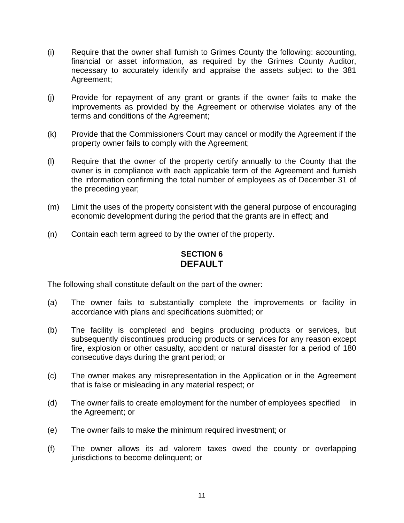- (i) Require that the owner shall furnish to Grimes County the following: accounting, financial or asset information, as required by the Grimes County Auditor, necessary to accurately identify and appraise the assets subject to the 381 Agreement;
- (j) Provide for repayment of any grant or grants if the owner fails to make the improvements as provided by the Agreement or otherwise violates any of the terms and conditions of the Agreement;
- (k) Provide that the Commissioners Court may cancel or modify the Agreement if the property owner fails to comply with the Agreement;
- (l) Require that the owner of the property certify annually to the County that the owner is in compliance with each applicable term of the Agreement and furnish the information confirming the total number of employees as of December 31 of the preceding year;
- (m) Limit the uses of the property consistent with the general purpose of encouraging economic development during the period that the grants are in effect; and
- (n) Contain each term agreed to by the owner of the property.

## **SECTION 6 DEFAULT**

The following shall constitute default on the part of the owner:

- (a) The owner fails to substantially complete the improvements or facility in accordance with plans and specifications submitted; or
- (b) The facility is completed and begins producing products or services, but subsequently discontinues producing products or services for any reason except fire, explosion or other casualty, accident or natural disaster for a period of 180 consecutive days during the grant period; or
- (c) The owner makes any misrepresentation in the Application or in the Agreement that is false or misleading in any material respect; or
- (d) The owner fails to create employment for the number of employees specified in the Agreement; or
- (e) The owner fails to make the minimum required investment; or
- (f) The owner allows its ad valorem taxes owed the county or overlapping jurisdictions to become delinquent; or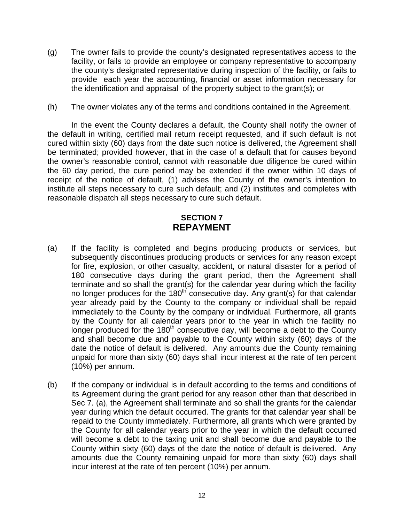- (g) The owner fails to provide the county's designated representatives access to the facility, or fails to provide an employee or company representative to accompany the county's designated representative during inspection of the facility, or fails to provide each year the accounting, financial or asset information necessary for the identification and appraisal of the property subject to the grant(s); or
- (h) The owner violates any of the terms and conditions contained in the Agreement.

In the event the County declares a default, the County shall notify the owner of the default in writing, certified mail return receipt requested, and if such default is not cured within sixty (60) days from the date such notice is delivered, the Agreement shall be terminated; provided however, that in the case of a default that for causes beyond the owner's reasonable control, cannot with reasonable due diligence be cured within the 60 day period, the cure period may be extended if the owner within 10 days of receipt of the notice of default, (1) advises the County of the owner's intention to institute all steps necessary to cure such default; and (2) institutes and completes with reasonable dispatch all steps necessary to cure such default.

## **SECTION 7 REPAYMENT**

- (a) If the facility is completed and begins producing products or services, but subsequently discontinues producing products or services for any reason except for fire, explosion, or other casualty, accident, or natural disaster for a period of 180 consecutive days during the grant period, then the Agreement shall terminate and so shall the grant(s) for the calendar year during which the facility no longer produces for the 180<sup>th</sup> consecutive day. Any grant(s) for that calendar year already paid by the County to the company or individual shall be repaid immediately to the County by the company or individual. Furthermore, all grants by the County for all calendar years prior to the year in which the facility no longer produced for the 180<sup>th</sup> consecutive day, will become a debt to the County and shall become due and payable to the County within sixty (60) days of the date the notice of default is delivered. Any amounts due the County remaining unpaid for more than sixty (60) days shall incur interest at the rate of ten percent (10%) per annum.
- (b) If the company or individual is in default according to the terms and conditions of its Agreement during the grant period for any reason other than that described in Sec 7. (a), the Agreement shall terminate and so shall the grants for the calendar year during which the default occurred. The grants for that calendar year shall be repaid to the County immediately. Furthermore, all grants which were granted by the County for all calendar years prior to the year in which the default occurred will become a debt to the taxing unit and shall become due and payable to the County within sixty (60) days of the date the notice of default is delivered. Any amounts due the County remaining unpaid for more than sixty (60) days shall incur interest at the rate of ten percent (10%) per annum.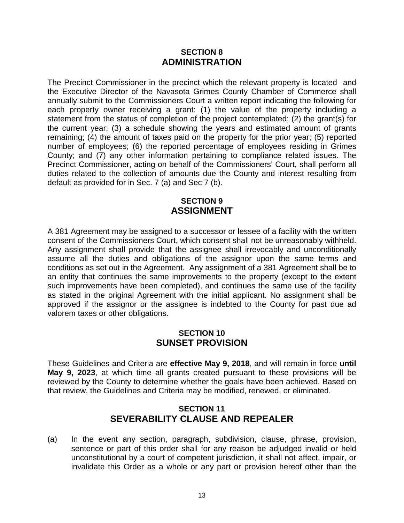### **SECTION 8 ADMINISTRATION**

The Precinct Commissioner in the precinct which the relevant property is located and the Executive Director of the Navasota Grimes County Chamber of Commerce shall annually submit to the Commissioners Court a written report indicating the following for each property owner receiving a grant: (1) the value of the property including a statement from the status of completion of the project contemplated; (2) the grant(s) for the current year; (3) a schedule showing the years and estimated amount of grants remaining; (4) the amount of taxes paid on the property for the prior year; (5) reported number of employees; (6) the reported percentage of employees residing in Grimes County; and (7) any other information pertaining to compliance related issues. The Precinct Commissioner, acting on behalf of the Commissioners' Court, shall perform all duties related to the collection of amounts due the County and interest resulting from default as provided for in Sec. 7 (a) and Sec 7 (b).

### **SECTION 9 ASSIGNMENT**

A 381 Agreement may be assigned to a successor or lessee of a facility with the written consent of the Commissioners Court, which consent shall not be unreasonably withheld. Any assignment shall provide that the assignee shall irrevocably and unconditionally assume all the duties and obligations of the assignor upon the same terms and conditions as set out in the Agreement. Any assignment of a 381 Agreement shall be to an entity that continues the same improvements to the property (except to the extent such improvements have been completed), and continues the same use of the facility as stated in the original Agreement with the initial applicant. No assignment shall be approved if the assignor or the assignee is indebted to the County for past due ad valorem taxes or other obligations.

### **SECTION 10 SUNSET PROVISION**

These Guidelines and Criteria are **effective May 9, 2018**, and will remain in force **until May 9, 2023**, at which time all grants created pursuant to these provisions will be reviewed by the County to determine whether the goals have been achieved. Based on that review, the Guidelines and Criteria may be modified, renewed, or eliminated.

## **SECTION 11 SEVERABILITY CLAUSE AND REPEALER**

(a) In the event any section, paragraph, subdivision, clause, phrase, provision, sentence or part of this order shall for any reason be adjudged invalid or held unconstitutional by a court of competent jurisdiction, it shall not affect, impair, or invalidate this Order as a whole or any part or provision hereof other than the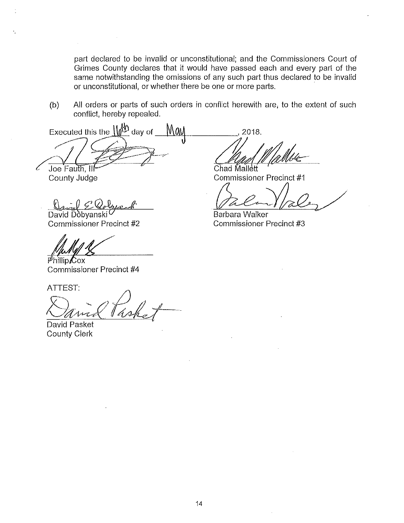part declared to be invalid or unconstitutional; and the Commissioners Court of Grimes County declares that it would have passed each and every part of the same notwithstanding the omissions of any such part thus declared to be invalid or unconstitutional, or whether there be one or more parts.

All orders or parts of such orders in conflict herewith are, to the extent of such  $(b)$ conflict, hereby repealed.

Executed this the  $\sqrt{\binom{N}{2}}$  day of Mau Joe Fauth.

County Judge

David Dobyanski Commissioner Precinct #2

 $\phi$ hillip Cox

Commissioner Precinct #4

ATTEST:

David Pasket **County Clerk** 

2018. Chad Mallett

Commissioner Precinct #1

**Barbara Walker** Commissioner Precinct #3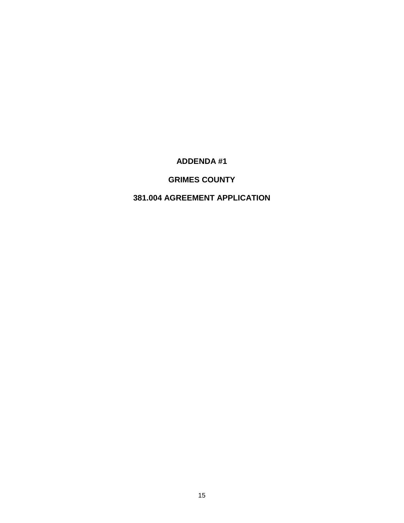## **ADDENDA #1**

## **GRIMES COUNTY**

## **381.004 AGREEMENT APPLICATION**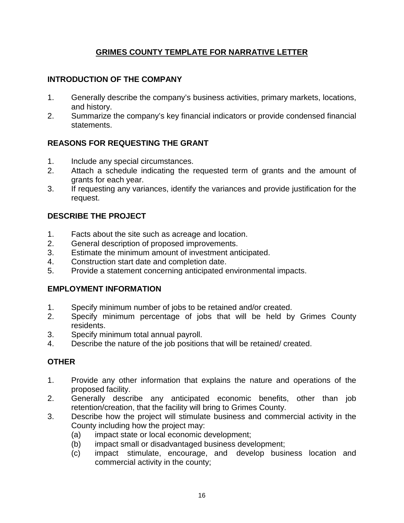## **GRIMES COUNTY TEMPLATE FOR NARRATIVE LETTER**

## **INTRODUCTION OF THE COMPANY**

- 1. Generally describe the company's business activities, primary markets, locations, and history.
- 2. Summarize the company's key financial indicators or provide condensed financial statements.

## **REASONS FOR REQUESTING THE GRANT**

- 1. Include any special circumstances.
- 2. Attach a schedule indicating the requested term of grants and the amount of grants for each year.
- 3. If requesting any variances, identify the variances and provide justification for the request.

## **DESCRIBE THE PROJECT**

- 1. Facts about the site such as acreage and location.
- 2. General description of proposed improvements.
- 3. Estimate the minimum amount of investment anticipated.
- 4. Construction start date and completion date.
- 5. Provide a statement concerning anticipated environmental impacts.

### **EMPLOYMENT INFORMATION**

- 1. Specify minimum number of jobs to be retained and/or created.
- 2. Specify minimum percentage of jobs that will be held by Grimes County residents.
- 3. Specify minimum total annual payroll.
- 4. Describe the nature of the job positions that will be retained/ created.

### **OTHER**

- 1. Provide any other information that explains the nature and operations of the proposed facility.
- 2. Generally describe any anticipated economic benefits, other than job retention/creation, that the facility will bring to Grimes County.
- 3. Describe how the project will stimulate business and commercial activity in the County including how the project may:
	- (a) impact state or local economic development;
	- (b) impact small or disadvantaged business development;
	- (c) impact stimulate, encourage, and develop business location and commercial activity in the county;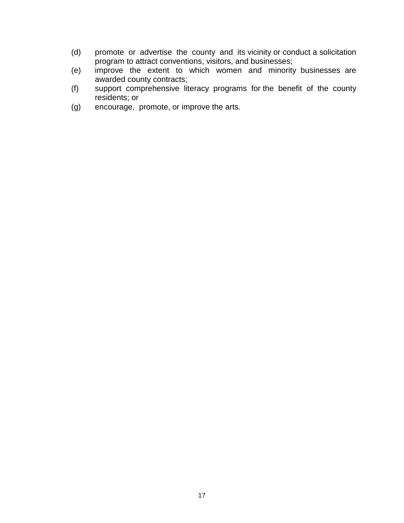- (d) promote or advertise the county and its vicinity or conduct a solicitation program to attract conventions, visitors, and businesses;
- (e) improve the extent to which women and minority businesses are awarded county contracts;
- (f) support comprehensive literacy programs for the benefit of the county residents; or
- (g) encourage, promote, or improve the arts.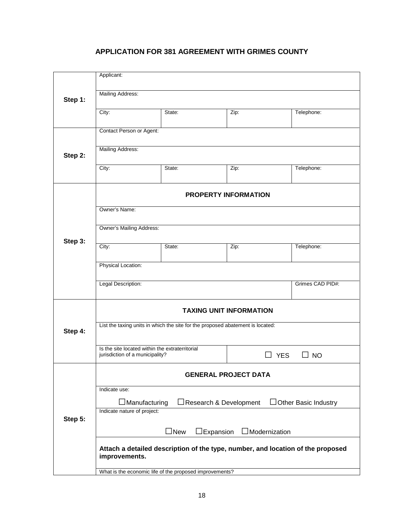## **APPLICATION FOR 381 AGREEMENT WITH GRIMES COUNTY**

| Step 1: | Applicant:                                                                                       |                  |                         |            |  |  |
|---------|--------------------------------------------------------------------------------------------------|------------------|-------------------------|------------|--|--|
|         | Mailing Address:                                                                                 |                  |                         |            |  |  |
|         | City:                                                                                            | State:           | Zip:                    | Telephone: |  |  |
| Step 2: | Contact Person or Agent:                                                                         |                  |                         |            |  |  |
|         | Mailing Address:                                                                                 |                  |                         |            |  |  |
|         | City:                                                                                            | State:           | Zip:                    | Telephone: |  |  |
| Step 3: | <b>PROPERTY INFORMATION</b>                                                                      |                  |                         |            |  |  |
|         | Owner's Name:                                                                                    |                  |                         |            |  |  |
|         |                                                                                                  |                  |                         |            |  |  |
|         | Owner's Mailing Address:                                                                         |                  |                         |            |  |  |
|         | City:                                                                                            | State:           | Zip:                    | Telephone: |  |  |
|         | Physical Location:                                                                               |                  |                         |            |  |  |
|         | Legal Description:                                                                               | Grimes CAD PID#: |                         |            |  |  |
| Step 4: | <b>TAXING UNIT INFORMATION</b>                                                                   |                  |                         |            |  |  |
|         | List the taxing units in which the site for the proposed abatement is located:                   |                  |                         |            |  |  |
|         | Is the site located within the extraterritorial<br>jurisdiction of a municipality?               |                  | <b>YES</b><br>$\Box$ NO |            |  |  |
| Step 5: | <b>GENERAL PROJECT DATA</b>                                                                      |                  |                         |            |  |  |
|         | Indicate use:                                                                                    |                  |                         |            |  |  |
|         | $\exists$ Manufacturing<br>□Research & Development<br>Other Basic Industry                       |                  |                         |            |  |  |
|         | Indicate nature of project:                                                                      |                  |                         |            |  |  |
|         | $\Box$ New<br>$\Box$ Modernization<br>Expansion                                                  |                  |                         |            |  |  |
|         | Attach a detailed description of the type, number, and location of the proposed<br>improvements. |                  |                         |            |  |  |
|         | What is the economic life of the proposed improvements?                                          |                  |                         |            |  |  |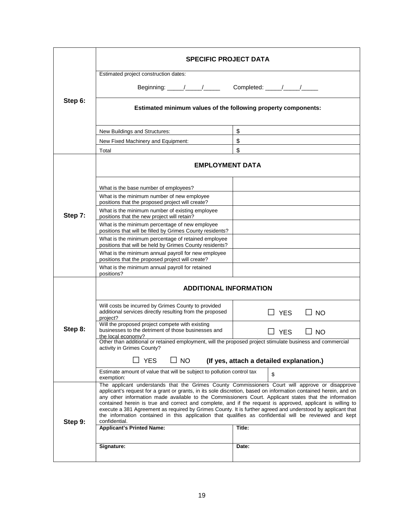|         | <b>SPECIFIC PROJECT DATA</b>                                                                                                                                                                                                                                                                                                                                                                                                                                                                                                                                                                                                                                                          |                            |  |  |  |  |
|---------|---------------------------------------------------------------------------------------------------------------------------------------------------------------------------------------------------------------------------------------------------------------------------------------------------------------------------------------------------------------------------------------------------------------------------------------------------------------------------------------------------------------------------------------------------------------------------------------------------------------------------------------------------------------------------------------|----------------------------|--|--|--|--|
| Step 6: | Estimated project construction dates:                                                                                                                                                                                                                                                                                                                                                                                                                                                                                                                                                                                                                                                 |                            |  |  |  |  |
|         |                                                                                                                                                                                                                                                                                                                                                                                                                                                                                                                                                                                                                                                                                       |                            |  |  |  |  |
|         | Estimated minimum values of the following property components:                                                                                                                                                                                                                                                                                                                                                                                                                                                                                                                                                                                                                        |                            |  |  |  |  |
|         | New Buildings and Structures:                                                                                                                                                                                                                                                                                                                                                                                                                                                                                                                                                                                                                                                         | \$                         |  |  |  |  |
|         | New Fixed Machinery and Equipment:                                                                                                                                                                                                                                                                                                                                                                                                                                                                                                                                                                                                                                                    | \$                         |  |  |  |  |
|         | Total                                                                                                                                                                                                                                                                                                                                                                                                                                                                                                                                                                                                                                                                                 | \$                         |  |  |  |  |
| Step 7: | <b>EMPLOYMENT DATA</b>                                                                                                                                                                                                                                                                                                                                                                                                                                                                                                                                                                                                                                                                |                            |  |  |  |  |
|         | What is the base number of employees?                                                                                                                                                                                                                                                                                                                                                                                                                                                                                                                                                                                                                                                 |                            |  |  |  |  |
|         | What is the minimum number of new employee<br>positions that the proposed project will create?                                                                                                                                                                                                                                                                                                                                                                                                                                                                                                                                                                                        |                            |  |  |  |  |
|         | What is the minimum number of existing employee<br>positions that the new project will retain?                                                                                                                                                                                                                                                                                                                                                                                                                                                                                                                                                                                        |                            |  |  |  |  |
|         | What is the minimum percentage of new employee<br>positions that will be filled by Grimes County residents?                                                                                                                                                                                                                                                                                                                                                                                                                                                                                                                                                                           |                            |  |  |  |  |
|         | What is the minimum percentage of retained employee<br>positions that will be held by Grimes County residents?                                                                                                                                                                                                                                                                                                                                                                                                                                                                                                                                                                        |                            |  |  |  |  |
|         | What is the minimum annual payroll for new employee<br>positions that the proposed project will create?                                                                                                                                                                                                                                                                                                                                                                                                                                                                                                                                                                               |                            |  |  |  |  |
|         | What is the minimum annual payroll for retained<br>positions?                                                                                                                                                                                                                                                                                                                                                                                                                                                                                                                                                                                                                         |                            |  |  |  |  |
| Step 8: | <b>ADDITIONAL INFORMATION</b>                                                                                                                                                                                                                                                                                                                                                                                                                                                                                                                                                                                                                                                         |                            |  |  |  |  |
|         | Will costs be incurred by Grimes County to provided<br>additional services directly resulting from the proposed<br>project?                                                                                                                                                                                                                                                                                                                                                                                                                                                                                                                                                           | YES<br>$\Box$ NO           |  |  |  |  |
|         | Will the proposed project compete with existing<br>businesses to the detriment of those businesses and<br>the local economy?                                                                                                                                                                                                                                                                                                                                                                                                                                                                                                                                                          | $\square$ YES<br>$\Box$ NO |  |  |  |  |
|         | Other than additional or retained employment, will the proposed project stimulate business and commercial<br>activity in Grimes County?                                                                                                                                                                                                                                                                                                                                                                                                                                                                                                                                               |                            |  |  |  |  |
|         | $\Box$ YES<br>$\square$ NO<br>(If yes, attach a detailed explanation.)                                                                                                                                                                                                                                                                                                                                                                                                                                                                                                                                                                                                                |                            |  |  |  |  |
|         | Estimate amount of value that will be subject to pollution control tax<br>exemption:                                                                                                                                                                                                                                                                                                                                                                                                                                                                                                                                                                                                  | \$                         |  |  |  |  |
| Step 9: | The applicant understands that the Grimes County Commissioners Court will approve or disapprove<br>applicant's request for a grant or grants, in its sole discretion, based on information contained herein, and on<br>any other information made available to the Commissioners Court. Applicant states that the information<br>contained herein is true and correct and complete, and if the request is approved, applicant is willing to<br>execute a 381 Agreement as required by Grimes County. It is further agreed and understood by applicant that<br>the information contained in this application that qualifies as confidential will be reviewed and kept<br>confidential. |                            |  |  |  |  |
|         | <b>Applicant's Printed Name:</b>                                                                                                                                                                                                                                                                                                                                                                                                                                                                                                                                                                                                                                                      | Title:                     |  |  |  |  |
|         | Signature:                                                                                                                                                                                                                                                                                                                                                                                                                                                                                                                                                                                                                                                                            | Date:                      |  |  |  |  |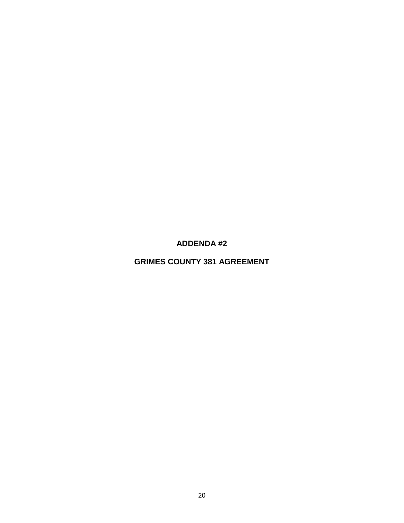**ADDENDA #2**

**GRIMES COUNTY 381 AGREEMENT**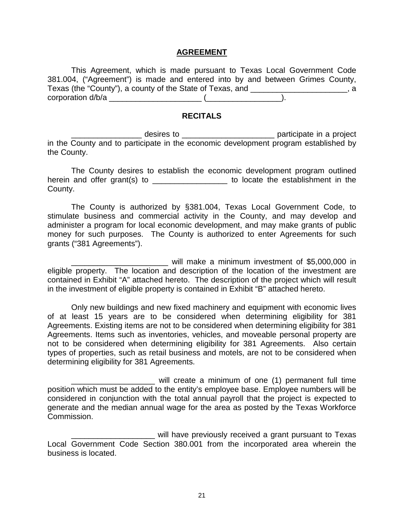#### **AGREEMENT**

This Agreement, which is made pursuant to Texas Local Government Code 381.004, ("Agreement") is made and entered into by and between Grimes County, Texas (the "County"), a county of the State of Texas, and \_\_\_\_\_\_\_\_\_\_\_\_\_\_\_\_\_\_\_\_\_\_, a corporation d/b/a \_\_\_\_\_\_\_\_\_\_\_\_\_\_\_\_\_\_\_\_\_ (\_\_\_\_\_\_\_\_\_\_\_\_\_\_\_\_\_).

#### **RECITALS**

\_\_\_\_\_\_\_\_\_\_ desires to \_\_\_\_\_\_\_\_\_\_\_\_\_\_\_\_\_\_\_\_\_\_\_\_\_\_\_\_\_ participate in a project in the County and to participate in the economic development program established by the County.

The County desires to establish the economic development program outlined herein and offer grant(s) to \_\_\_\_\_\_\_\_\_\_\_\_\_\_\_\_\_\_\_\_\_ to locate the establishment in the County.

The County is authorized by §381.004, Texas Local Government Code, to stimulate business and commercial activity in the County, and may develop and administer a program for local economic development, and may make grants of public money for such purposes. The County is authorized to enter Agreements for such grants ("381 Agreements").

will make a minimum investment of \$5,000,000 in eligible property. The location and description of the location of the investment are contained in Exhibit "A" attached hereto. The description of the project which will result in the investment of eligible property is contained in Exhibit "B" attached hereto.

Only new buildings and new fixed machinery and equipment with economic lives of at least 15 years are to be considered when determining eligibility for 381 Agreements. Existing items are not to be considered when determining eligibility for 381 Agreements. Items such as inventories, vehicles, and moveable personal property are not to be considered when determining eligibility for 381 Agreements. Also certain types of properties, such as retail business and motels, are not to be considered when determining eligibility for 381 Agreements.

\_\_\_\_\_\_\_\_\_\_\_\_\_\_\_\_\_\_\_ will create a minimum of one (1) permanent full time position which must be added to the entity's employee base. Employee numbers will be considered in conjunction with the total annual payroll that the project is expected to generate and the median annual wage for the area as posted by the Texas Workforce Commission.

\_\_\_\_\_\_\_\_\_\_\_\_\_\_\_\_\_\_\_ will have previously received a grant pursuant to Texas Local Government Code Section 380.001 from the incorporated area wherein the business is located.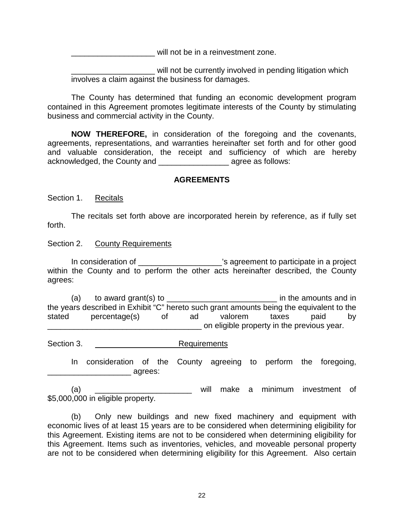will not be in a reinvestment zone.

\_\_\_\_\_\_\_\_\_\_\_\_\_\_\_\_\_\_\_ will not be currently involved in pending litigation which involves a claim against the business for damages.

The County has determined that funding an economic development program contained in this Agreement promotes legitimate interests of the County by stimulating business and commercial activity in the County.

**NOW THEREFORE,** in consideration of the foregoing and the covenants, agreements, representations, and warranties hereinafter set forth and for other good and valuable consideration, the receipt and sufficiency of which are hereby acknowledged, the County and \_\_\_\_\_\_\_\_\_\_\_\_\_\_\_\_ agree as follows:

### **AGREEMENTS**

Section 1. Recitals

The recitals set forth above are incorporated herein by reference, as if fully set forth.

#### Section 2. County Requirements

In consideration of  $\blacksquare$   $\blacksquare$  's agreement to participate in a project within the County and to perform the other acts hereinafter described, the County agrees:

(a) to award grant(s) to  $\frac{1}{2}$  =  $\frac{1}{2}$  =  $\frac{1}{2}$  in the amounts and in the years described in Exhibit "C" hereto such grant amounts being the equivalent to the<br>stated bercentage(s) of ad valorem taxes paid by stated percentage(s) of ad valorem taxes paid by \_\_\_\_\_\_\_\_\_\_\_\_\_\_\_\_\_\_\_\_\_\_\_\_\_\_\_\_\_\_\_\_\_\_\_ on eligible property in the previous year.

Section 3. Requirements

In consideration of the County agreeing to perform the foregoing, end agrees:

(a) \_\_\_\_\_\_\_\_\_\_\_\_\_\_\_\_\_\_\_\_\_\_ will make a minimum investment of \$5,000,000 in eligible property.

(b) Only new buildings and new fixed machinery and equipment with economic lives of at least 15 years are to be considered when determining eligibility for this Agreement. Existing items are not to be considered when determining eligibility for this Agreement. Items such as inventories, vehicles, and moveable personal property are not to be considered when determining eligibility for this Agreement. Also certain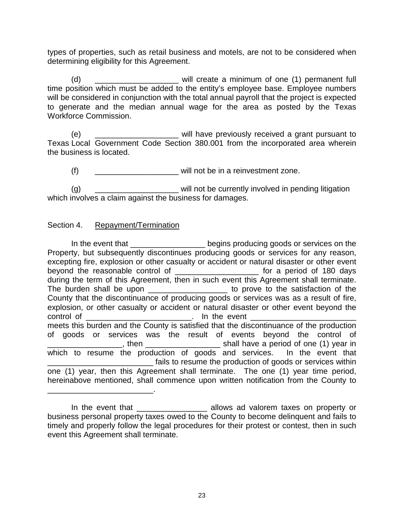types of properties, such as retail business and motels, are not to be considered when determining eligibility for this Agreement.

(d) \_\_\_\_\_\_\_\_\_\_\_\_\_\_\_\_\_\_\_ will create a minimum of one (1) permanent full time position which must be added to the entity's employee base. Employee numbers will be considered in conjunction with the total annual payroll that the project is expected to generate and the median annual wage for the area as posted by the Texas Workforce Commission.

(e) \_\_\_\_\_\_\_\_\_\_\_\_\_\_\_\_\_\_\_\_\_ will have previously received a grant pursuant to Texas Local Government Code Section 380.001 from the incorporated area wherein the business is located.

 $(f)$  \_\_\_\_\_\_\_\_\_\_\_\_\_\_\_\_\_\_\_\_\_\_\_\_ will not be in a reinvestment zone.

(g) \_\_\_\_\_\_\_\_\_\_\_\_\_\_\_\_\_\_\_\_\_\_ will not be currently involved in pending litigation which involves a claim against the business for damages.

### Section 4. Repayment/Termination

\_\_\_\_\_\_\_\_\_\_\_\_\_\_\_\_\_\_\_\_\_\_\_\_.

In the event that **Interpretent in the event that** begins producing goods or services on the Property, but subsequently discontinues producing goods or services for any reason, excepting fire, explosion or other casualty or accident or natural disaster or other event beyond the reasonable control of \_\_\_\_\_\_\_\_\_\_\_\_\_\_\_\_\_\_\_ for a period of 180 days during the term of this Agreement, then in such event this Agreement shall terminate. The burden shall be upon \_\_\_\_\_\_\_\_\_\_\_\_\_\_\_\_\_\_\_\_\_ to prove to the satisfaction of the County that the discontinuance of producing goods or services was as a result of fire, explosion, or other casualty or accident or natural disaster or other event beyond the control of the event  $\Box$  in the event meets this burden and the County is satisfied that the discontinuance of the production of goods or services was the result of events beyond the control of \_\_\_\_\_\_\_\_, then \_\_\_\_\_\_\_\_\_\_\_\_\_\_\_\_\_\_\_\_\_\_\_\_\_\_\_ shall have a period of one (1) year in which to resume the production of goods and services. In the event that **EXECUTE:** fails to resume the production of goods or services within one (1) year, then this Agreement shall terminate. The one (1) year time period, hereinabove mentioned, shall commence upon written notification from the County to

In the event that \_\_\_\_\_\_\_\_\_\_\_\_\_\_\_\_\_\_\_\_ allows ad valorem taxes on property or business personal property taxes owed to the County to become delinquent and fails to timely and properly follow the legal procedures for their protest or contest, then in such event this Agreement shall terminate.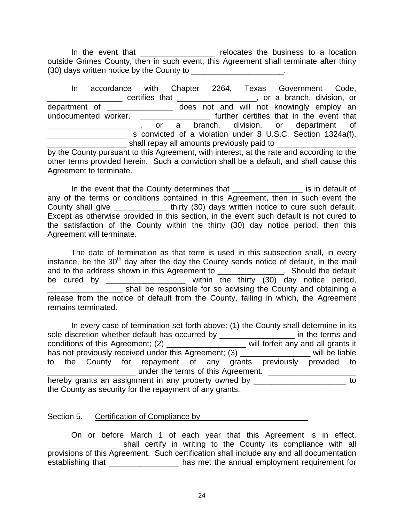In the event that \_\_\_\_\_\_\_\_\_\_\_\_\_\_\_\_\_\_\_ relocates the business to a location outside Grimes County, then in such event, this Agreement shall terminate after thirty (30) days written notice by the County to \_\_\_\_\_\_\_\_\_\_\_\_\_\_\_\_\_\_\_\_\_.

In accordance with Chapter 2264, Texas Government Code, \_\_\_\_\_\_\_\_\_\_\_\_\_\_\_\_\_ certifies that \_\_\_\_\_\_\_\_\_\_\_\_\_\_\_\_\_\_, or a branch, division, or department of \_\_\_\_\_\_\_\_\_\_\_\_\_\_\_ does not and will not knowingly employ an undocumented worker. \_\_\_\_\_\_\_\_\_\_\_\_\_\_\_\_ further certifies that in the event that Letter Letter and Stranch, division, or department of \_\_\_\_\_\_\_\_\_\_\_\_\_\_\_\_\_\_ is convicted of a violation under 8 U.S.C. Section 1324a(f),  $\frac{1}{2}$  shall repay all amounts previously paid to  $\frac{1}{2}$ by the County pursuant to this Agreement, with interest, at the rate and according to the other terms provided herein. Such a conviction shall be a default, and shall cause this

In the event that the County determines that **Intercontage and the County determines** that any of the terms or conditions contained in this Agreement, then in such event the County shall give \_\_\_\_\_\_\_\_\_\_\_\_\_\_\_ thirty (30) days written notice to cure such default. Except as otherwise provided in this section, in the event such default is not cured to the satisfaction of the County within the thirty (30) day notice period, then this Agreement will terminate.

The date of termination as that term is used in this subsection shall, in every instance, be the  $30<sup>th</sup>$  day after the day the County sends notice of default, in the mail and to the address shown in this Agreement to \_\_\_\_\_\_\_\_\_\_\_\_\_\_\_. Should the default be cured by \_\_\_\_\_\_\_\_\_\_\_\_\_\_\_\_\_\_\_ within the thirty (30) day notice period, shall be responsible for so advising the County and obtaining a release from the notice of default from the County, failing in which, the Agreement remains terminated.

In every case of termination set forth above: (1) the County shall determine in its sole discretion whether default has occurred by \_\_\_\_\_\_\_\_\_\_\_\_\_\_\_\_\_\_\_\_\_ in the terms and conditions of this Agreement; (2) \_\_\_\_\_\_\_\_\_\_\_\_\_\_\_\_\_\_ will forfeit any and all grants it has not previously received under this Agreement; (3) The most contribute vill be liable to the County for repayment of any grants previously provided to ander the terms of this Agreement. hereby grants an assignment in any property owned by \_\_\_\_\_\_\_\_\_\_\_\_\_\_\_\_\_\_\_\_\_\_\_\_\_\_ to the County as security for the repayment of any grants.

### Section 5. Certification of Compliance by \_\_\_\_\_\_\_\_\_\_\_\_\_\_\_\_\_\_\_\_\_\_\_\_

Agreement to terminate.

On or before March 1 of each year that this Agreement is in effect, **EXECUTE:** Shall certify in writing to the County its compliance with all provisions of this Agreement. Such certification shall include any and all documentation establishing that \_\_\_\_\_\_\_\_\_\_\_\_\_\_\_\_\_\_\_ has met the annual employment requirement for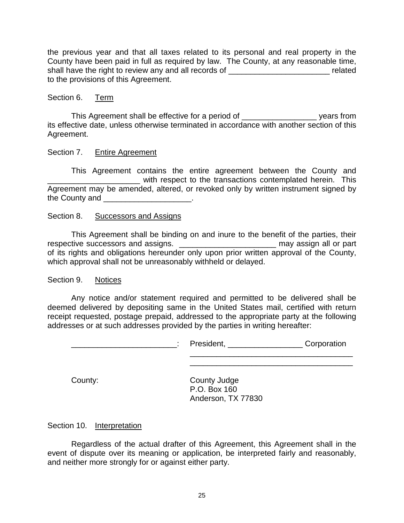the previous year and that all taxes related to its personal and real property in the County have been paid in full as required by law. The County, at any reasonable time, shall have the right to review any and all records of \_\_\_\_\_\_\_\_\_\_\_\_\_\_\_\_\_\_\_\_\_\_\_\_\_\_\_ related to the provisions of this Agreement.

#### Section 6. Term

This Agreement shall be effective for a period of \_\_\_\_\_\_\_\_\_\_\_\_\_\_\_\_\_ years from its effective date, unless otherwise terminated in accordance with another section of this Agreement.

#### Section 7. Entire Agreement

This Agreement contains the entire agreement between the County and with respect to the transactions contemplated herein. This Agreement may be amended, altered, or revoked only by written instrument signed by the County and **Example 20** and the County and  $\blacksquare$ 

#### Section 8. Successors and Assigns

This Agreement shall be binding on and inure to the benefit of the parties, their respective successors and assigns. \_\_\_\_\_\_\_\_\_\_\_\_\_\_\_\_\_\_\_\_\_\_\_\_\_\_\_\_\_\_\_\_ may assign all or part of its rights and obligations hereunder only upon prior written approval of the County, which approval shall not be unreasonably withheld or delayed.

#### Section 9. Notices

Any notice and/or statement required and permitted to be delivered shall be deemed delivered by depositing same in the United States mail, certified with return receipt requested, postage prepaid, addressed to the appropriate party at the following addresses or at such addresses provided by the parties in writing hereafter:

| President, | Corporation |
|------------|-------------|
|            |             |

County: County Judge P.O. Box 160 Anderson, TX 77830

 $\frac{1}{2}$  ,  $\frac{1}{2}$  ,  $\frac{1}{2}$  ,  $\frac{1}{2}$  ,  $\frac{1}{2}$  ,  $\frac{1}{2}$  ,  $\frac{1}{2}$  ,  $\frac{1}{2}$  ,  $\frac{1}{2}$  ,  $\frac{1}{2}$  ,  $\frac{1}{2}$  ,  $\frac{1}{2}$  ,  $\frac{1}{2}$  ,  $\frac{1}{2}$  ,  $\frac{1}{2}$  ,  $\frac{1}{2}$  ,  $\frac{1}{2}$  ,  $\frac{1}{2}$  ,  $\frac{1$ 

Section 10. Interpretation

Regardless of the actual drafter of this Agreement, this Agreement shall in the event of dispute over its meaning or application, be interpreted fairly and reasonably, and neither more strongly for or against either party.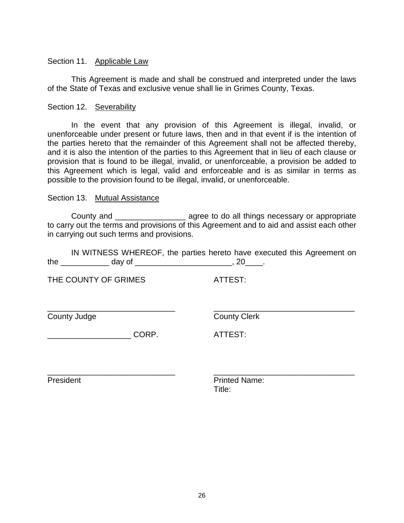#### Section 11. Applicable Law

This Agreement is made and shall be construed and interpreted under the laws of the State of Texas and exclusive venue shall lie in Grimes County, Texas.

#### Section 12. Severability

In the event that any provision of this Agreement is illegal, invalid, or unenforceable under present or future laws, then and in that event if is the intention of the parties hereto that the remainder of this Agreement shall not be affected thereby, and it is also the intention of the parties to this Agreement that in lieu of each clause or provision that is found to be illegal, invalid, or unenforceable, a provision be added to this Agreement which is legal, valid and enforceable and is as similar in terms as possible to the provision found to be illegal, invalid, or unenforceable.

#### Section 13. Mutual Assistance

County and \_\_\_\_\_\_\_\_\_\_\_\_\_\_\_\_ agree to do all things necessary or appropriate to carry out the terms and provisions of this Agreement and to aid and assist each other in carrying out such terms and provisions.

IN WITNESS WHEREOF, the parties hereto have executed this Agreement on the day of  $\sim$   $\sim$  0.20  $\sim$ 

THE COUNTY OF GRIMES ATTEST:

\_\_\_\_\_\_\_\_\_\_\_\_\_\_\_\_\_\_\_\_\_\_\_\_\_\_\_\_\_ \_\_\_\_\_\_\_\_\_\_\_\_\_\_\_\_\_\_\_\_\_\_\_\_\_\_\_\_\_\_\_\_ County Judge County Clerk

 $CORP.$  ATTEST:

\_\_\_\_\_\_\_\_\_\_\_\_\_\_\_\_\_\_\_\_\_\_\_\_\_\_\_\_\_ \_\_\_\_\_\_\_\_\_\_\_\_\_\_\_\_\_\_\_\_\_\_\_\_\_\_\_\_\_\_\_\_ President **President** Printed Name: Title: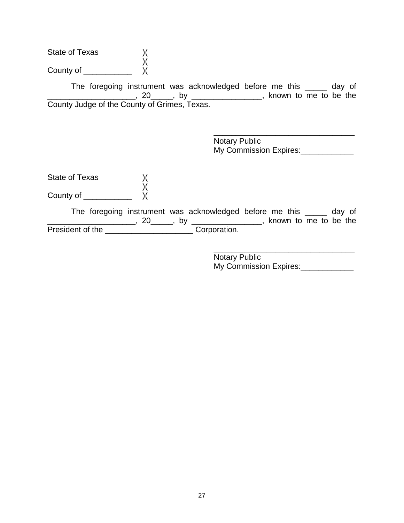State of Texas )( )( County of  $\frac{\ }{\ }$  )(

The foregoing instrument was acknowledged before me this \_\_\_\_\_ day of \_\_\_\_\_\_\_\_\_\_, 20\_\_\_\_\_\_, by \_\_\_\_\_\_\_\_\_\_\_\_\_\_\_\_\_\_\_\_, known to me to be the County Judge of the County of Grimes, Texas.

> \_\_\_\_\_\_\_\_\_\_\_\_\_\_\_\_\_\_\_\_\_\_\_\_\_\_\_\_\_\_\_\_ Notary Public My Commission Expires:\_\_\_\_\_\_\_\_\_

State of Texas )( )( County of  $\frac{1}{\sqrt{2}}$ 

The foregoing instrument was acknowledged before me this \_\_\_\_\_ day of \_\_\_\_\_\_\_\_\_\_\_\_\_\_\_\_\_\_\_\_\_\_\_\_, 20\_\_\_\_\_\_, by \_\_\_\_\_\_\_\_\_\_\_\_\_\_\_\_\_\_\_\_, known to me to be the President of the \_\_\_\_\_\_\_\_\_\_\_\_\_\_\_\_\_\_\_\_\_\_\_\_\_\_\_Corporation.

> \_\_\_\_\_\_\_\_\_\_\_\_\_\_\_\_\_\_\_\_\_\_\_\_\_\_\_\_\_\_\_\_ Notary Public My Commission Expires: \_\_\_\_\_\_\_\_\_\_\_\_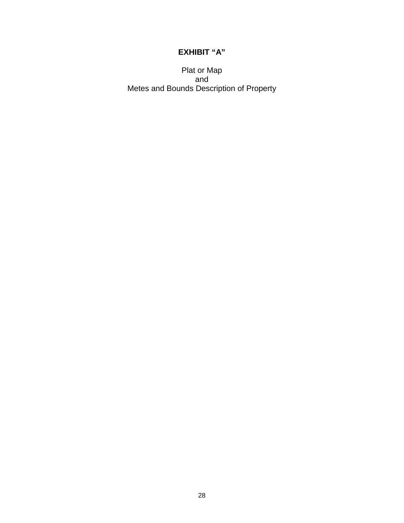## **EXHIBIT "A"**

Plat or Map and Metes and Bounds Description of Property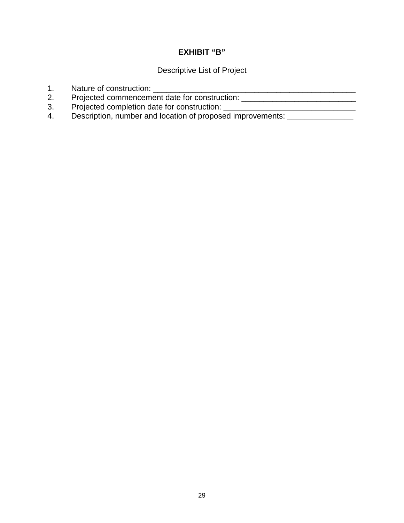## **EXHIBIT "B"**

Descriptive List of Project

- 1. Nature of construction: \_\_\_\_\_\_\_\_\_\_\_\_\_\_\_\_\_\_\_\_\_\_\_\_\_\_\_\_\_\_\_\_\_\_\_\_\_\_\_\_\_\_\_\_\_\_
- 2. Projected commencement date for construction: \_\_\_\_\_\_\_\_\_\_\_\_\_\_\_\_\_\_\_\_\_\_\_\_\_\_\_\_\_\_\_
- 3. Projected completion date for construction: \_\_\_\_\_\_\_\_\_\_\_\_\_\_\_\_\_\_\_\_\_\_\_\_\_\_\_\_\_\_\_\_\_
- 4. Description, number and location of proposed improvements: \_\_\_\_\_\_\_\_\_\_\_\_\_\_\_\_\_\_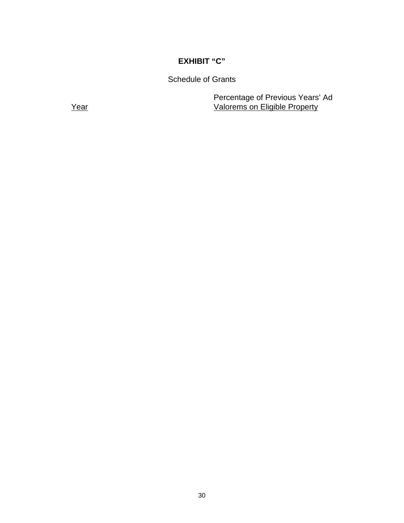## **EXHIBIT "C"**

Schedule of Grants

Percentage of Previous Years' Ad Year Valorems on Eligible Property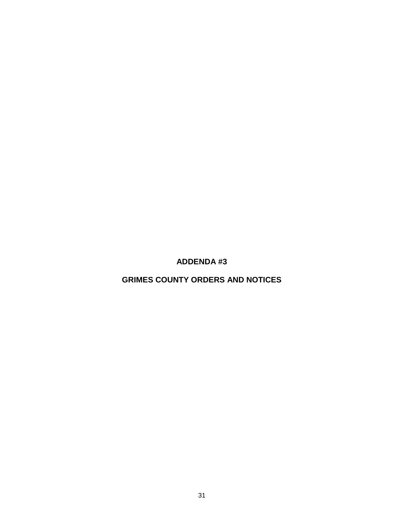**ADDENDA #3**

**GRIMES COUNTY ORDERS AND NOTICES**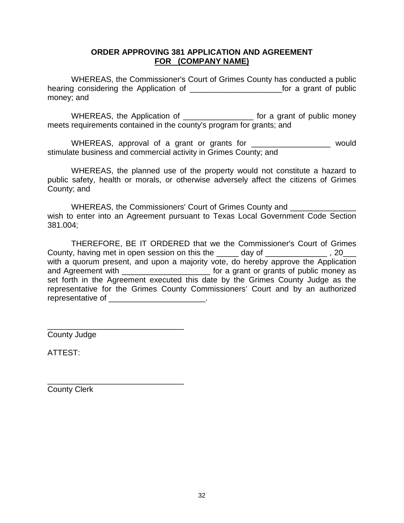### **ORDER APPROVING 381 APPLICATION AND AGREEMENT FOR (COMPANY NAME)**

WHEREAS, the Commissioner's Court of Grimes County has conducted a public hearing considering the Application of \_\_\_\_\_\_\_\_\_\_\_\_\_\_\_\_\_\_\_\_\_for a grant of public money; and

WHEREAS, the Application of **with the authority of the CO** for a grant of public money meets requirements contained in the county's program for grants; and

WHEREAS, approval of a grant or grants for \_\_\_\_\_\_\_\_\_\_\_\_\_\_\_\_\_\_\_ would stimulate business and commercial activity in Grimes County; and

WHEREAS, the planned use of the property would not constitute a hazard to public safety, health or morals, or otherwise adversely affect the citizens of Grimes County; and

WHEREAS, the Commissioners' Court of Grimes County and wish to enter into an Agreement pursuant to Texas Local Government Code Section 381.004;

THEREFORE, BE IT ORDERED that we the Commissioner's Court of Grimes County, having met in open session on this the \_\_\_\_\_ day of \_\_\_\_\_\_\_\_\_\_\_\_\_\_\_, 20\_\_\_ with a quorum present, and upon a majority vote, do hereby approve the Application and Agreement with \_\_\_\_\_\_\_\_\_\_\_\_\_\_\_\_\_\_\_\_\_\_\_\_\_\_\_ for a grant or grants of public money as set forth in the Agreement executed this date by the Grimes County Judge as the representative for the Grimes County Commissioners' Court and by an authorized representative of \_\_\_\_\_\_\_\_\_\_\_\_\_\_\_\_\_\_\_\_\_\_.

\_\_\_\_\_\_\_\_\_\_\_\_\_\_\_\_\_\_\_\_\_\_\_\_\_\_\_\_\_\_\_ County Judge

ATTEST:

County Clerk

\_\_\_\_\_\_\_\_\_\_\_\_\_\_\_\_\_\_\_\_\_\_\_\_\_\_\_\_\_\_\_